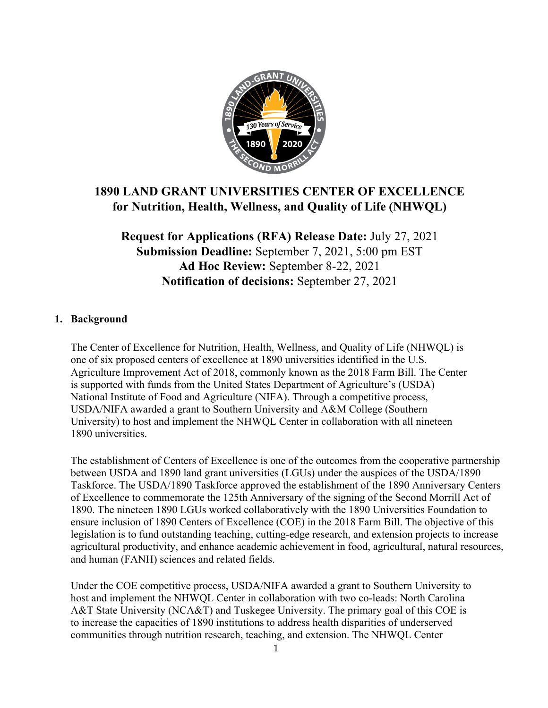

# **1890 LAND GRANT UNIVERSITIES CENTER OF EXCELLENCE for Nutrition, Health, Wellness, and Quality of Life (NHWQL)**

**Request for Applications (RFA) Release Date:** July 27, 2021 **Submission Deadline:** September 7, 2021, 5:00 pm EST **Ad Hoc Review:** September 8-22, 2021 **Notification of decisions:** September 27, 2021

## **1. Background**

The Center of Excellence for Nutrition, Health, Wellness, and Quality of Life (NHWQL) is one of six proposed centers of excellence at 1890 universities identified in the U.S. Agriculture Improvement Act of 2018, commonly known as the 2018 Farm Bill. The Center is supported with funds from the United States Department of Agriculture's (USDA) National Institute of Food and Agriculture (NIFA). Through a competitive process, USDA/NIFA awarded a grant to Southern University and A&M College (Southern University) to host and implement the NHWQL Center in collaboration with all nineteen 1890 universities.

The establishment of Centers of Excellence is one of the outcomes from the cooperative partnership between USDA and 1890 land grant universities (LGUs) under the auspices of the USDA/1890 Taskforce. The USDA/1890 Taskforce approved the establishment of the 1890 Anniversary Centers of Excellence to commemorate the 125th Anniversary of the signing of the Second Morrill Act of 1890. The nineteen 1890 LGUs worked collaboratively with the 1890 Universities Foundation to ensure inclusion of 1890 Centers of Excellence (COE) in the 2018 Farm Bill. The objective of this legislation is to fund outstanding teaching, cutting-edge research, and extension projects to increase agricultural productivity, and enhance academic achievement in food, agricultural, natural resources, and human (FANH) sciences and related fields.

Under the COE competitive process, USDA/NIFA awarded a grant to Southern University to host and implement the NHWQL Center in collaboration with two co-leads: North Carolina A&T State University (NCA&T) and Tuskegee University. The primary goal of this COE is to increase the capacities of 1890 institutions to address health disparities of underserved communities through nutrition research, teaching, and extension. The NHWQL Center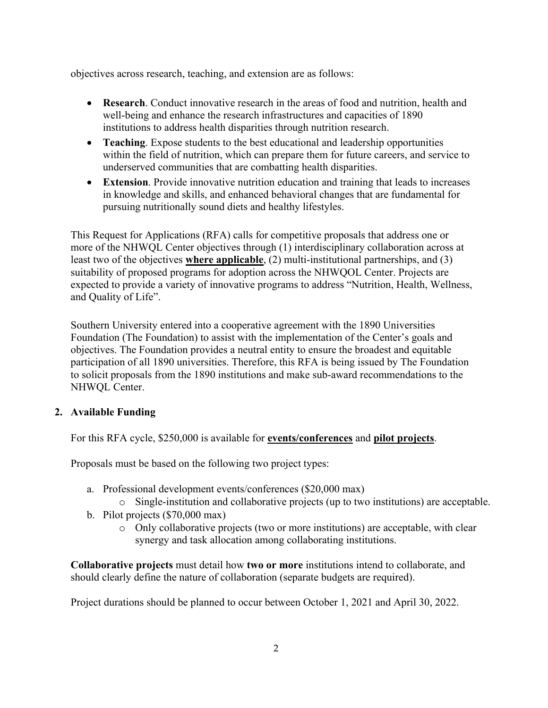objectives across research, teaching, and extension are as follows:

- **Research**. Conduct innovative research in the areas of food and nutrition, health and well-being and enhance the research infrastructures and capacities of 1890 institutions to address health disparities through nutrition research.
- **Teaching**. Expose students to the best educational and leadership opportunities within the field of nutrition, which can prepare them for future careers, and service to underserved communities that are combatting health disparities.
- **Extension**. Provide innovative nutrition education and training that leads to increases in knowledge and skills, and enhanced behavioral changes that are fundamental for pursuing nutritionally sound diets and healthy lifestyles.

This Request for Applications (RFA) calls for competitive proposals that address one or more of the NHWQL Center objectives through (1) interdisciplinary collaboration across at least two of the objectives **where applicable**, (2) multi-institutional partnerships, and (3) suitability of proposed programs for adoption across the NHWQOL Center. Projects are expected to provide a variety of innovative programs to address "Nutrition, Health, Wellness, and Quality of Life".

Southern University entered into a cooperative agreement with the 1890 Universities Foundation (The Foundation) to assist with the implementation of the Center's goals and objectives. The Foundation provides a neutral entity to ensure the broadest and equitable participation of all 1890 universities. Therefore, this RFA is being issued by The Foundation to solicit proposals from the 1890 institutions and make sub-award recommendations to the NHWQL Center.

#### **2. Available Funding**

For this RFA cycle, \$250,000 is available for **events/conferences** and **pilot projects**.

Proposals must be based on the following two project types:

- a. Professional development events/conferences (\$20,000 max)
	- o Single-institution and collaborative projects (up to two institutions) are acceptable.
- b. Pilot projects (\$70,000 max)
	- o Only collaborative projects (two or more institutions) are acceptable, with clear synergy and task allocation among collaborating institutions.

**Collaborative projects** must detail how **two or more** institutions intend to collaborate, and should clearly define the nature of collaboration (separate budgets are required).

Project durations should be planned to occur between October 1, 2021 and April 30, 2022.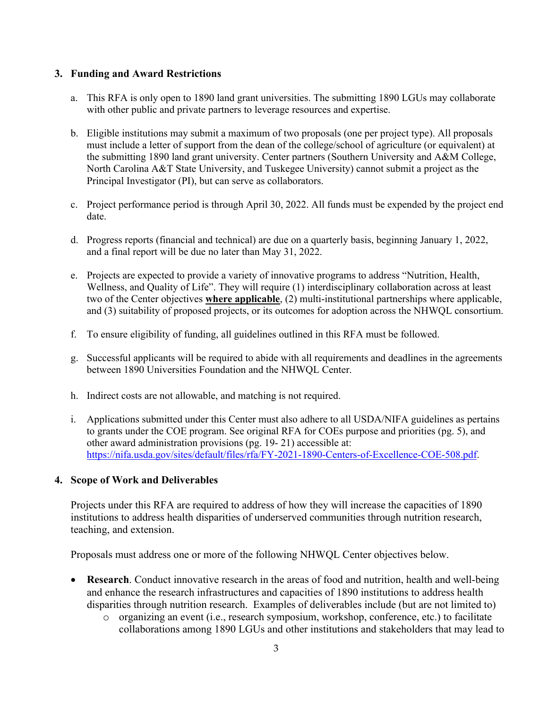## **3. Funding and Award Restrictions**

- a. This RFA is only open to 1890 land grant universities. The submitting 1890 LGUs may collaborate with other public and private partners to leverage resources and expertise.
- b. Eligible institutions may submit a maximum of two proposals (one per project type). All proposals must include a letter of support from the dean of the college/school of agriculture (or equivalent) at the submitting 1890 land grant university. Center partners (Southern University and A&M College, North Carolina A&T State University, and Tuskegee University) cannot submit a project as the Principal Investigator (PI), but can serve as collaborators.
- c. Project performance period is through April 30, 2022. All funds must be expended by the project end date.
- d. Progress reports (financial and technical) are due on a quarterly basis, beginning January 1, 2022, and a final report will be due no later than May 31, 2022.
- e. Projects are expected to provide a variety of innovative programs to address "Nutrition, Health, Wellness, and Quality of Life". They will require (1) interdisciplinary collaboration across at least two of the Center objectives **where applicable**, (2) multi-institutional partnerships where applicable, and (3) suitability of proposed projects, or its outcomes for adoption across the NHWQL consortium.
- f. To ensure eligibility of funding, all guidelines outlined in this RFA must be followed.
- g. Successful applicants will be required to abide with all requirements and deadlines in the agreements between 1890 Universities Foundation and the NHWQL Center.
- h. Indirect costs are not allowable, and matching is not required.
- i. Applications submitted under this Center must also adhere to all USDA/NIFA guidelines as pertains to grants under the COE program. See original RFA for COEs purpose and priorities (pg. 5), and other award administration provisions (pg. 19- 21) accessible at: [https://nifa.usda.gov/sites/default/files/rfa/FY-2021-1890-Centers-of-Excellence-COE-508.pdf.](https://nifa.usda.gov/sites/default/files/rfa/FY-2021-1890-Centers-of-Excellence-COE-508.pdf)

#### **4. Scope of Work and Deliverables**

Projects under this RFA are required to address of how they will increase the capacities of 1890 institutions to address health disparities of underserved communities through nutrition research, teaching, and extension.

Proposals must address one or more of the following NHWQL Center objectives below.

- **Research**. Conduct innovative research in the areas of food and nutrition, health and well-being and enhance the research infrastructures and capacities of 1890 institutions to address health disparities through nutrition research. Examples of deliverables include (but are not limited to)
	- o organizing an event (i.e., research symposium, workshop, conference, etc.) to facilitate collaborations among 1890 LGUs and other institutions and stakeholders that may lead to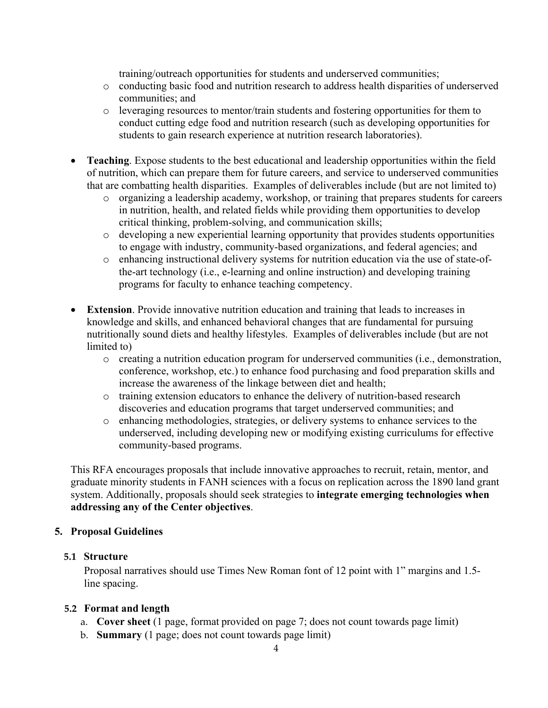training/outreach opportunities for students and underserved communities;

- o conducting basic food and nutrition research to address health disparities of underserved communities; and
- o leveraging resources to mentor/train students and fostering opportunities for them to conduct cutting edge food and nutrition research (such as developing opportunities for students to gain research experience at nutrition research laboratories).
- **Teaching**. Expose students to the best educational and leadership opportunities within the field of nutrition, which can prepare them for future careers, and service to underserved communities that are combatting health disparities. Examples of deliverables include (but are not limited to)
	- o organizing a leadership academy, workshop, or training that prepares students for careers in nutrition, health, and related fields while providing them opportunities to develop critical thinking, problem-solving, and communication skills;
	- o developing a new experiential learning opportunity that provides students opportunities to engage with industry, community-based organizations, and federal agencies; and
	- o enhancing instructional delivery systems for nutrition education via the use of state-ofthe-art technology (i.e., e-learning and online instruction) and developing training programs for faculty to enhance teaching competency.
- **Extension**. Provide innovative nutrition education and training that leads to increases in knowledge and skills, and enhanced behavioral changes that are fundamental for pursuing nutritionally sound diets and healthy lifestyles. Examples of deliverables include (but are not limited to)
	- o creating a nutrition education program for underserved communities (i.e., demonstration, conference, workshop, etc.) to enhance food purchasing and food preparation skills and increase the awareness of the linkage between diet and health;
	- o training extension educators to enhance the delivery of nutrition-based research discoveries and education programs that target underserved communities; and
	- o enhancing methodologies, strategies, or delivery systems to enhance services to the underserved, including developing new or modifying existing curriculums for effective community-based programs.

This RFA encourages proposals that include innovative approaches to recruit, retain, mentor, and graduate minority students in FANH sciences with a focus on replication across the 1890 land grant system. Additionally, proposals should seek strategies to **integrate emerging technologies when addressing any of the Center objectives**.

# **5. Proposal Guidelines**

#### **5.1 Structure**

Proposal narratives should use Times New Roman font of 12 point with 1" margins and 1.5 line spacing.

#### **5.2 Format and length**

- a. **Cover sheet** (1 page, format provided on page 7; does not count towards page limit)
- b. **Summary** (1 page; does not count towards page limit)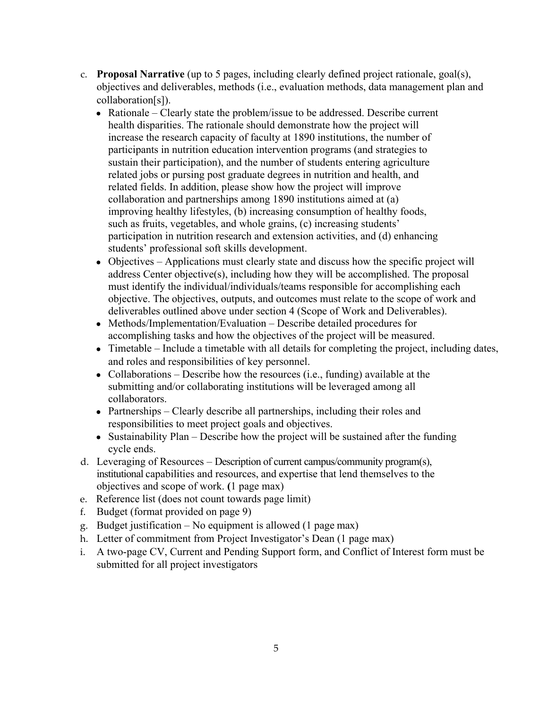- c. **Proposal Narrative** (up to 5 pages, including clearly defined project rationale, goal(s), objectives and deliverables, methods (i.e., evaluation methods, data management plan and collaboration[s]).
	- Rationale Clearly state the problem/issue to be addressed. Describe current health disparities. The rationale should demonstrate how the project will increase the research capacity of faculty at 1890 institutions, the number of participants in nutrition education intervention programs (and strategies to sustain their participation), and the number of students entering agriculture related jobs or pursing post graduate degrees in nutrition and health, and related fields. In addition, please show how the project will improve collaboration and partnerships among 1890 institutions aimed at (a) improving healthy lifestyles, (b) increasing consumption of healthy foods, such as fruits, vegetables, and whole grains, (c) increasing students' participation in nutrition research and extension activities, and (d) enhancing students' professional soft skills development.
	- Objectives Applications must clearly state and discuss how the specific project will address Center objective(s), including how they will be accomplished. The proposal must identify the individual/individuals/teams responsible for accomplishing each objective. The objectives, outputs, and outcomes must relate to the scope of work and deliverables outlined above under section 4 (Scope of Work and Deliverables).
	- Methods/Implementation/Evaluation Describe detailed procedures for accomplishing tasks and how the objectives of the project will be measured.
	- Timetable Include a timetable with all details for completing the project, including dates, and roles and responsibilities of key personnel.
	- Collaborations Describe how the resources (i.e., funding) available at the submitting and/or collaborating institutions will be leveraged among all collaborators.
	- Partnerships Clearly describe all partnerships, including their roles and responsibilities to meet project goals and objectives.
	- Sustainability Plan Describe how the project will be sustained after the funding cycle ends.
- d. Leveraging of Resources Description of current campus/community program(s), institutional capabilities and resources, and expertise that lend themselves to the objectives and scope of work. **(**1 page max)
- e. Reference list (does not count towards page limit)
- f. Budget (format provided on page 9)
- g. Budget justification No equipment is allowed (1 page max)
- h. Letter of commitment from Project Investigator's Dean (1 page max)
- i. A two-page CV, Current and Pending Support form, and Conflict of Interest form must be submitted for all project investigators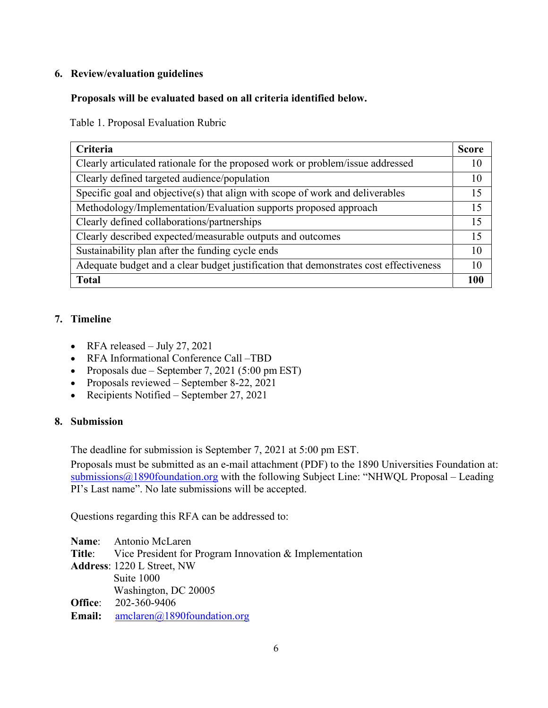# **6. Review/evaluation guidelines**

## **Proposals will be evaluated based on all criteria identified below.**

Table 1. Proposal Evaluation Rubric

| Criteria                                                                              | <b>Score</b> |
|---------------------------------------------------------------------------------------|--------------|
| Clearly articulated rationale for the proposed work or problem/issue addressed        | 10           |
| Clearly defined targeted audience/population                                          | 10           |
| Specific goal and objective(s) that align with scope of work and deliverables         | 15           |
| Methodology/Implementation/Evaluation supports proposed approach                      | 15           |
| Clearly defined collaborations/partnerships                                           | 15           |
| Clearly described expected/measurable outputs and outcomes                            | 15           |
| Sustainability plan after the funding cycle ends                                      | 10           |
| Adequate budget and a clear budget justification that demonstrates cost effectiveness | 10           |
| <b>Total</b>                                                                          |              |

#### **7. Timeline**

- RFA released July 27, 2021
- RFA Informational Conference Call –TBD
- Proposals due September 7, 2021 (5:00 pm EST)
- Proposals reviewed September 8-22, 2021
- Recipients Notified September 27, 2021

#### **8. Submission**

The deadline for submission is September 7, 2021 at 5:00 pm EST.

Proposals must be submitted as an e-mail attachment (PDF) to the 1890 Universities Foundation at:  $submissions@1890f$ PI's Last name". No late submissions will be accepted.

Questions regarding this RFA can be addressed to:

**Name**: Antonio McLaren **Title**: Vice President for Program Innovation & Implementation **Address**: 1220 L Street, NW Suite 1000 Washington, DC 20005 **Office**: 202-360-9406 Email: [amclaren@1890foundation.org](mailto:amclaren@1890foundation.org)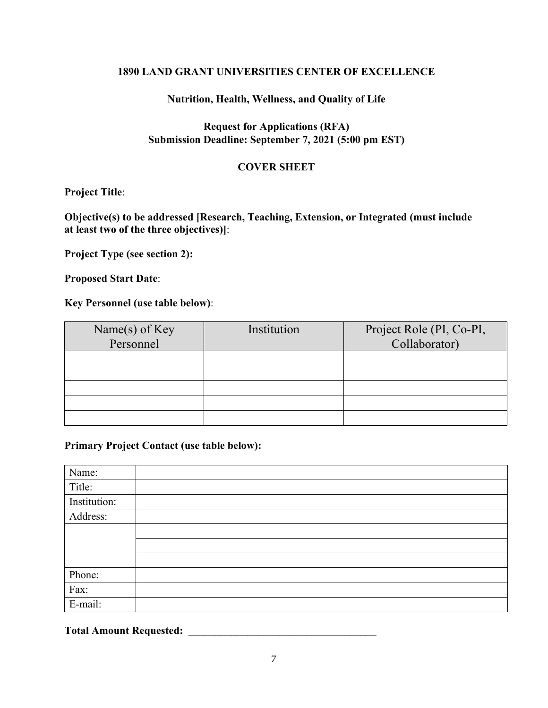## **1890 LAND GRANT UNIVERSITIES CENTER OF EXCELLENCE**

## **Nutrition, Health, Wellness, and Quality of Life**

# **Request for Applications (RFA) Submission Deadline: September 7, 2021 (5:00 pm EST)**

## **COVER SHEET**

## **Project Title**:

# **Objective(s) to be addressed [Research, Teaching, Extension, or Integrated (must include at least two of the three objectives)]**:

**Project Type (see section 2):**

**Proposed Start Date**:

#### **Key Personnel (use table below)**:

| Name(s) of Key<br>Personnel | Institution | Project Role (PI, Co-PI,<br>Collaborator) |
|-----------------------------|-------------|-------------------------------------------|
|                             |             |                                           |
|                             |             |                                           |
|                             |             |                                           |
|                             |             |                                           |
|                             |             |                                           |

# **Primary Project Contact (use table below):**

| Name:        |  |
|--------------|--|
| Title:       |  |
| Institution: |  |
| Address:     |  |
|              |  |
|              |  |
|              |  |
| Phone:       |  |
| Fax:         |  |
| E-mail:      |  |

**Total Amount Requested: \_\_\_\_\_\_\_\_\_\_\_\_\_\_\_\_\_\_\_\_\_\_\_\_\_\_\_\_\_\_\_\_\_\_\_**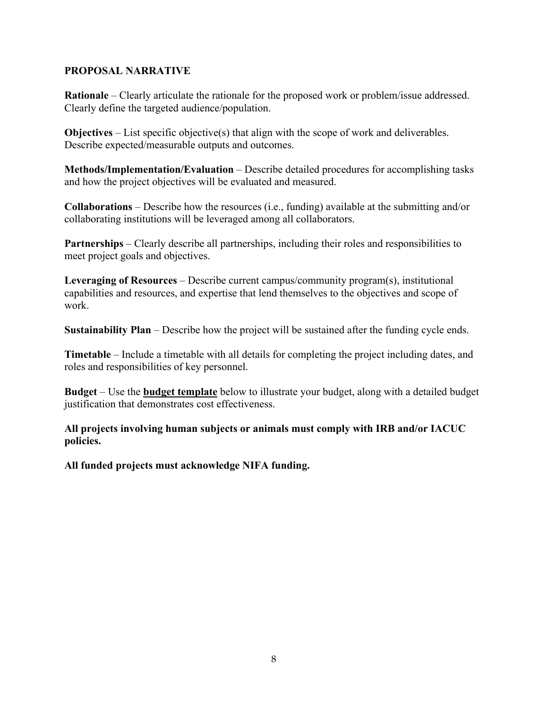# **PROPOSAL NARRATIVE**

**Rationale** – Clearly articulate the rationale for the proposed work or problem/issue addressed. Clearly define the targeted audience/population.

**Objectives** – List specific objective(s) that align with the scope of work and deliverables. Describe expected/measurable outputs and outcomes.

**Methods/Implementation/Evaluation** – Describe detailed procedures for accomplishing tasks and how the project objectives will be evaluated and measured.

**Collaborations** – Describe how the resources (i.e., funding) available at the submitting and/or collaborating institutions will be leveraged among all collaborators.

**Partnerships** – Clearly describe all partnerships, including their roles and responsibilities to meet project goals and objectives.

**Leveraging of Resources** – Describe current campus/community program(s), institutional capabilities and resources, and expertise that lend themselves to the objectives and scope of work.

**Sustainability Plan** – Describe how the project will be sustained after the funding cycle ends.

**Timetable** – Include a timetable with all details for completing the project including dates, and roles and responsibilities of key personnel.

**Budget** – Use the **budget template** below to illustrate your budget, along with a detailed budget justification that demonstrates cost effectiveness.

**All projects involving human subjects or animals must comply with IRB and/or IACUC policies.**

**All funded projects must acknowledge NIFA funding.**